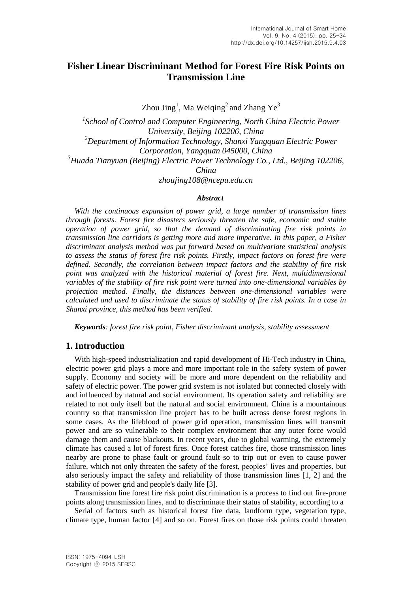# **Fisher Linear Discriminant Method for Forest Fire Risk Points on Transmission Line**

Zhou Jing<sup>1</sup>, Ma Weiqing<sup>2</sup> and Zhang Ye<sup>3</sup>

<sup>1</sup> School of Control and Computer Engineering, North China Electric Power *University, Beijing 102206, China <sup>2</sup>Department of Information Technology, Shanxi Yangquan Electric Power Corporation, Yangquan 045000, China <sup>3</sup>Huada Tianyuan (Beijing) Electric Power Technology Co., Ltd., Beijing 102206, China zhoujing108@ncepu.edu.cn*

#### *Abstract*

*With the continuous expansion of power grid, a large number of transmission lines through forests. Forest fire disasters seriously threaten the safe, economic and stable operation of power grid, so that the demand of discriminating fire risk points in transmission line corridors is getting more and more imperative. In this paper, a Fisher discriminant analysis method was put forward based on multivariate statistical analysis to assess the status of forest fire risk points. Firstly, impact factors on forest fire were defined. Secondly, the correlation between impact factors and the stability of fire risk point was analyzed with the historical material of forest fire. Next, multidimensional variables of the stability of fire risk point were turned into one-dimensional variables by projection method. Finally, the distances between one-dimensional variables were calculated and used to discriminate the status of stability of fire risk points. In a case in Shanxi province, this method has been verified.*

*Keywords: forest fire risk point, Fisher discriminant analysis, stability assessment*

### **1. Introduction**

With high-speed industrialization and rapid development of Hi-Tech industry in China, electric power grid plays a more and more important role in the safety system of power supply. Economy and society will be more and more dependent on the reliability and safety of electric power. The power grid system is not isolated but connected closely with and influenced by natural and social environment. Its operation safety and reliability are related to not only itself but the natural and social environment. China is a mountainous country so that transmission line project has to be built across dense forest regions in some cases. As the lifeblood of power grid operation, transmission lines will transmit power and are so vulnerable to their complex environment that any outer force would damage them and cause blackouts. In recent years, due to global warming, the extremely climate has caused a lot of forest fires. Once forest catches fire, those transmission lines nearby are prone to phase fault or ground fault so to trip out or even to cause power failure, which not only threaten the safety of the forest, peoples' lives and properties, but also seriously impact the safety and reliability of those transmission lines [1, 2] and the stability of power grid and people's daily life [3].

Transmission line forest fire risk point discrimination is a process to find out fire-prone points along transmission lines, and to discriminate their status of stability, according to a

Serial of factors such as historical forest fire data, landform type, vegetation type, climate type, human factor [4] and so on. Forest fires on those risk points could threaten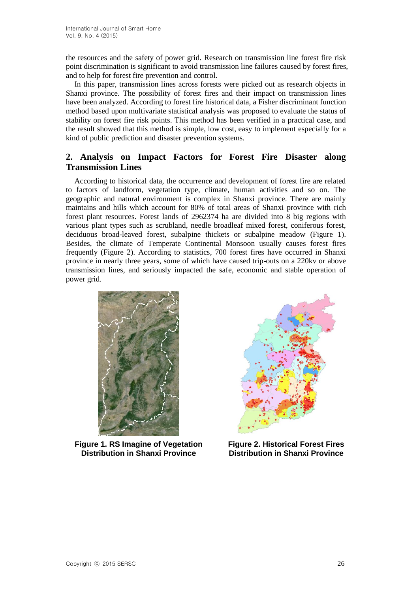the resources and the safety of power grid. Research on transmission line forest fire risk point discrimination is significant to avoid transmission line failures caused by forest fires, and to help for forest fire prevention and control.

In this paper, transmission lines across forests were picked out as research objects in Shanxi province. The possibility of forest fires and their impact on transmission lines have been analyzed. According to forest fire historical data, a Fisher discriminant function method based upon multivariate statistical analysis was proposed to evaluate the status of stability on forest fire risk points. This method has been verified in a practical case, and the result showed that this method is simple, low cost, easy to implement especially for a kind of public prediction and disaster prevention systems.

## **2. Analysis on Impact Factors for Forest Fire Disaster along Transmission Lines**

According to historical data, the occurrence and development of forest fire are related to factors of landform, vegetation type, climate, human activities and so on. The geographic and natural environment is complex in Shanxi province. There are mainly maintains and hills which account for 80% of total areas of Shanxi province with rich forest plant resources. Forest lands of 2962374 ha are divided into 8 big regions with various plant types such as scrubland, needle broadleaf mixed forest, coniferous forest, deciduous broad-leaved forest, subalpine thickets or subalpine meadow (Figure 1). Besides, the climate of Temperate Continental Monsoon usually causes forest fires frequently (Figure 2). According to statistics, 700 forest fires have occurred in Shanxi province in nearly three years, some of which have caused trip-outs on a 220kv or above transmission lines, and seriously impacted the safe, economic and stable operation of power grid.



**Figure 1. RS Imagine of Vegetation Distribution in Shanxi Province**



**Figure 2. Historical Forest Fires Distribution in Shanxi Province**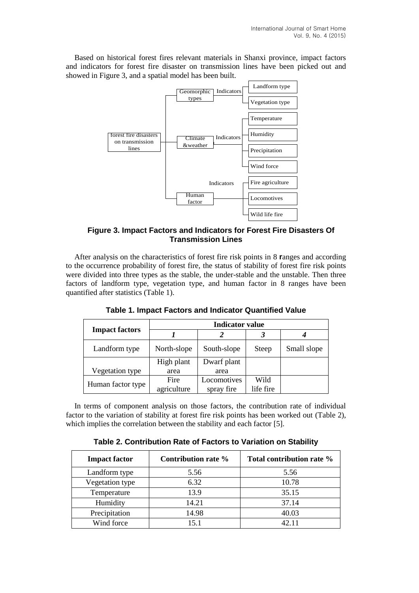Based on historical forest fires relevant materials in Shanxi province, impact factors and indicators for forest fire disaster on transmission lines have been picked out and showed in Figure 3, and a spatial model has been built.



**Figure 3. Impact Factors and Indicators for Forest Fire Disasters Of Transmission Lines**

After analysis on the characteristics of forest fire risk points in 8 **r**anges and according to the occurrence probability of forest fire, the status of stability of forest fire risk points were divided into three types as the stable, the under-stable and the unstable. Then three factors of landform type, vegetation type, and human factor in 8 ranges have been quantified after statistics (Table 1).

|                       | <b>Indicator value</b> |             |              |             |  |  |
|-----------------------|------------------------|-------------|--------------|-------------|--|--|
| <b>Impact factors</b> |                        |             |              |             |  |  |
| Landform type         | North-slope            | South-slope | <b>Steep</b> | Small slope |  |  |
|                       | High plant             | Dwarf plant |              |             |  |  |
| Vegetation type       | area                   | area        |              |             |  |  |
|                       | Fire                   | Locomotives | Wild         |             |  |  |
| Human factor type     | agriculture            | spray fire  | life fire    |             |  |  |

**Table 1. Impact Factors and Indicator Quantified Value**

In terms of component analysis on those factors, the contribution rate of individual factor to the variation of stability at forest fire risk points has been worked out (Table 2), which implies the correlation between the stability and each factor [5].

**Table 2. Contribution Rate of Factors to Variation on Stability**

| <b>Impact factor</b> | Contribution rate % | Total contribution rate % |
|----------------------|---------------------|---------------------------|
| Landform type        | 5.56                | 5.56                      |
| Vegetation type      | 6.32                | 10.78                     |
| Temperature          | 13.9                | 35.15                     |
| Humidity             | 14.21               | 37.14                     |
| Precipitation        | 14.98               | 40.03                     |
| Wind force           | 15.1                | 42.11                     |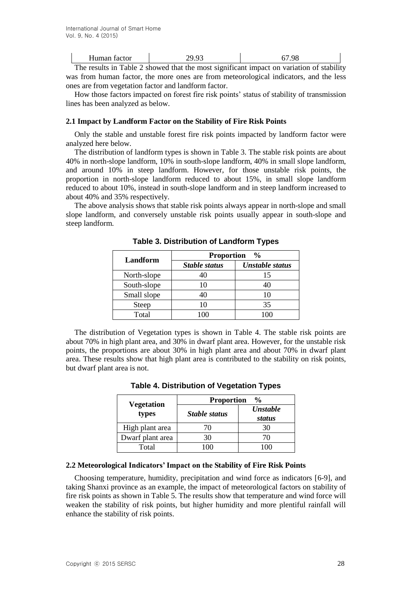| Human factor |                                                                                          |  |  |
|--------------|------------------------------------------------------------------------------------------|--|--|
|              | The results in Table 2 showed that the most significant impact on veristion of stability |  |  |

The results in Table 2 showed that the most significant impact on variation of stability was from human factor, the more ones are from meteorological indicators, and the less ones are from vegetation factor and landform factor.

How those factors impacted on forest fire risk points' status of stability of transmission lines has been analyzed as below.

#### **2.1 Impact by Landform Factor on the Stability of Fire Risk Points**

Only the stable and unstable forest fire risk points impacted by landform factor were analyzed here below.

The distribution of landform types is shown in Table 3. The stable risk points are about 40% in north-slope landform, 10% in south-slope landform, 40% in small slope landform, and around 10% in steep landform. However, for those unstable risk points, the proportion in north-slope landform reduced to about 15%, in small slope landform reduced to about 10%, instead in south-slope landform and in steep landform increased to about 40% and 35% respectively.

The above analysis shows that stable risk points always appear in north-slope and small slope landform, and conversely unstable risk points usually appear in south-slope and steep landform.

| Landform    | <b>Proportion</b> % |                        |  |  |
|-------------|---------------------|------------------------|--|--|
|             | Stable status       | <b>Unstable status</b> |  |  |
| North-slope | 40                  | 15                     |  |  |
| South-slope | 10                  |                        |  |  |
| Small slope | 40                  | 10                     |  |  |
| Steep       | 10                  | 35                     |  |  |
| Total       |                     |                        |  |  |

**Table 3. Distribution of Landform Types**

The distribution of Vegetation types is shown in Table 4. The stable risk points are about 70% in high plant area, and 30% in dwarf plant area. However, for the unstable risk points, the proportions are about 30% in high plant area and about 70% in dwarf plant area. These results show that high plant area is contributed to the stability on risk points, but dwarf plant area is not.

| <b>Table 4. Distribution of Vegetation Types</b> |  |
|--------------------------------------------------|--|
|--------------------------------------------------|--|

|                            | <b>Proportion</b><br>$\frac{0}{0}$ |                           |  |  |
|----------------------------|------------------------------------|---------------------------|--|--|
| <b>Vegetation</b><br>types | Stable status                      | <b>Unstable</b><br>status |  |  |
| High plant area            | 70                                 | 30                        |  |  |
| Dwarf plant area           | 30                                 | 70                        |  |  |
| Total                      |                                    |                           |  |  |

### **2.2 Meteorological Indicators' Impact on the Stability of Fire Risk Points**

Choosing temperature, humidity, precipitation and wind force as indicators [6-9], and taking Shanxi province as an example, the impact of meteorological factors on stability of fire risk points as shown in Table 5. The results show that temperature and wind force will weaken the stability of risk points, but higher humidity and more plentiful rainfall will enhance the stability of risk points.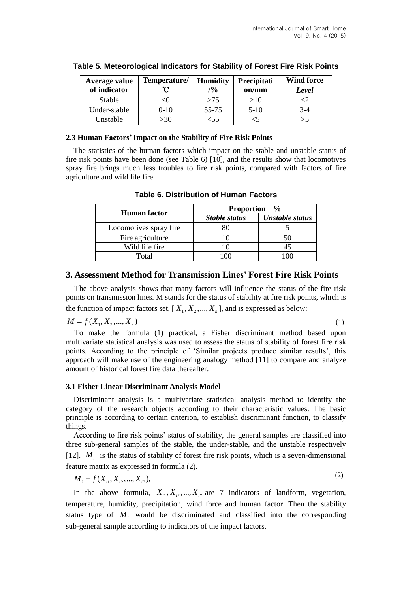| Average value | Temperature/ | <b>Humidity</b> | Precipitati | <b>Wind force</b> |  |
|---------------|--------------|-----------------|-------------|-------------------|--|
| of indicator  |              | $\frac{10}{6}$  | on/mm       | Level             |  |
| Stable        |              | >75             | >10         |                   |  |
| Under-stable  | $0-10$       | 55-75           | $5-10$      | 3-4               |  |
| Unstable      | >30          | 35              |             | >5                |  |

### **Table 5. Meteorological Indicators for Stability of Forest Fire Risk Points**

### **2.3 Human Factors' Impact on the Stability of Fire Risk Points**

The statistics of the human factors which impact on the stable and unstable status of fire risk points have been done (see Table 6) [10], and the results show that locomotives spray fire brings much less troubles to fire risk points, compared with factors of fire agriculture and wild life fire.

|                        | <b>Proportion</b><br>$\frac{6}{6}$ |                        |  |  |
|------------------------|------------------------------------|------------------------|--|--|
| <b>Human</b> factor    | <b>Stable status</b>               | <b>Unstable status</b> |  |  |
| Locomotives spray fire |                                    |                        |  |  |
| Fire agriculture       |                                    | 50                     |  |  |
| Wild life fire         |                                    |                        |  |  |
| Total                  |                                    |                        |  |  |

### **Table 6. Distribution of Human Factors**

## **3. Assessment Method for Transmission Lines' Forest Fire Risk Points**

The above analysis shows that many factors will influence the status of the fire risk points on transmission lines. M stands for the status of stability at fire risk points, which is the function of impact factors set,  $[X_1, X_2, ..., X_n]$ , and is expressed as below:

$$
M = f(X_1, X_2, ..., X_n)
$$
 (1)

To make the formula (1) practical, a Fisher discriminant method based upon multivariate statistical analysis was used to assess the status of stability of forest fire risk points. According to the principle of 'Similar projects produce similar results', this approach will make use of the engineering analogy method [11] to compare and analyze amount of historical forest fire data thereafter.

### **3.1 Fisher Linear Discriminant Analysis Model**

Discriminant analysis is a multivariate statistical analysis method to identify the category of the research objects according to their characteristic values. The basic principle is according to certain criterion, to establish discriminant function, to classify things.

According to fire risk points' status of stability, the general samples are classified into three sub-general samples of the stable, the under-stable, and the unstable respectively [12].  $M_i$  is the status of stability of forest fire risk points, which is a seven-dimensional feature matrix as expressed in formula (2).

$$
M_i = f(X_{i1}, X_{i2}, ..., X_{i7}),
$$
\n(2)

In the above formula,  $X_{i1}, X_{i2},..., X_{i7}$  are 7 indicators of landform, vegetation, temperature, humidity, precipitation, wind force and human factor. Then the stability status type of  $M_i$  would be discriminated and classified into the corresponding sub-general sample according to indicators of the impact factors.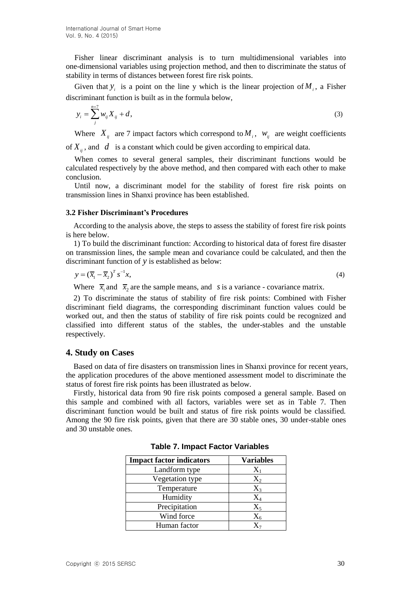Fisher linear discriminant analysis is to turn multidimensional variables into one-dimensional variables using projection method, and then to discriminate the status of stability in terms of distances between forest fire risk points.

Given that  $y_i$  is a point on the line y which is the linear projection of  $M_i$ , a Fisher discriminant function is built as in the formula below,

$$
y_i = \sum_{j}^{n=7} w_{ij} X_{ij} + d,
$$
\n(3)

Where  $X_{ij}$  are 7 impact factors which correspond to  $M_i$ ,  $W_{ij}$  are weight coefficients

of  $X_{ij}$ , and  $d$  is a constant which could be given according to empirical data.

When comes to several general samples, their discriminant functions would be calculated respectively by the above method, and then compared with each other to make conclusion.

Until now, a discriminant model for the stability of forest fire risk points on transmission lines in Shanxi province has been established.

#### **3.2 Fisher Discriminant's Procedures**

According to the analysis above, the steps to assess the stability of forest fire risk points is here below.

1) To build the discriminant function: According to historical data of forest fire disaster on transmission lines, the sample mean and covariance could be calculated, and then the discriminant function of *y* is established as below:

$$
y = \left(\overline{x}_1 - \overline{x}_2\right)^T s^{-1} x,\tag{4}
$$

Where  $\bar{x}_1$  and  $\bar{x}_2$  are the sample means, and *s* is a variance - covariance matrix.

2) To discriminate the status of stability of fire risk points: Combined with Fisher discriminant field diagrams, the corresponding discriminant function values could be worked out, and then the status of stability of fire risk points could be recognized and classified into different status of the stables, the under-stables and the unstable respectively.

### **4. Study on Cases**

Based on data of fire disasters on transmission lines in Shanxi province for recent years, the application procedures of the above mentioned assessment model to discriminate the status of forest fire risk points has been illustrated as below.

Firstly, historical data from 90 fire risk points composed a general sample. Based on this sample and combined with all factors, variables were set as in Table 7. Then discriminant function would be built and status of fire risk points would be classified. Among the 90 fire risk points, given that there are 30 stable ones, 30 under-stable ones and 30 unstable ones.

| <b>Impact factor indicators</b> | <b>Variables</b>   |
|---------------------------------|--------------------|
| Landform type                   | $X_1$              |
| Vegetation type                 | $X_{2}$            |
| Temperature                     | $\rm X_{3}$        |
| Humidity                        | $\rm X_4$          |
| Precipitation                   | $\Chi_{\varsigma}$ |
| Wind force                      | $\rm X_{6}$        |
| Human factor                    |                    |

**Table 7. Impact Factor Variables**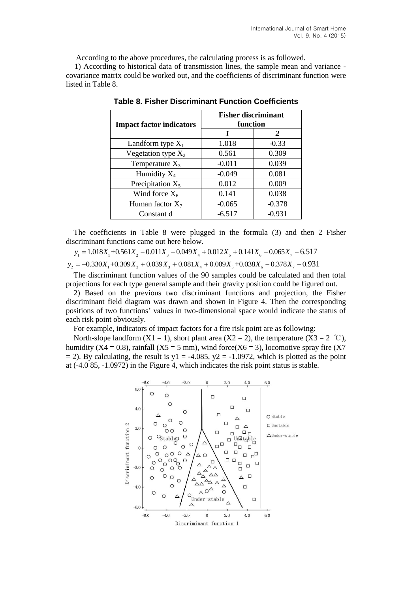According to the above procedures, the calculating process is as followed.

1) According to historical data of transmission lines, the sample mean and variance covariance matrix could be worked out, and the coefficients of discriminant function were listed in Table 8.

| <b>Impact factor indicators</b> | <b>Fisher discriminant</b><br>function |          |  |
|---------------------------------|----------------------------------------|----------|--|
|                                 |                                        | 2        |  |
| Landform type $X_1$             | 1.018                                  | $-0.33$  |  |
| Vegetation type $X_2$           | 0.561                                  | 0.309    |  |
| Temperature $X_3$               | $-0.011$                               | 0.039    |  |
| Humidity $X_4$                  | $-0.049$                               | 0.081    |  |
| Precipitation $X_5$             | 0.012                                  | 0.009    |  |
| Wind force $X_6$                | 0.141                                  | 0.038    |  |
| Human factor $X_7$              | $-0.065$                               | $-0.378$ |  |
| Constant d                      | $-6.517$                               | $-0.931$ |  |

**Table 8. Fisher Discriminant Function Coefficients**

The coefficients in Table 8 were plugged in the formula (3) and then 2 Fisher discriminant functions came out here below.

$$
y_1 = 1.018X_1 + 0.561X_2 - 0.011X_3 - 0.049X_4 + 0.012X_5 + 0.141X_6 - 0.065X_7 - 6.517
$$
  

$$
y_2 = -0.330X_1 + 0.309X_2 + 0.039X_3 + 0.081X_4 + 0.009X_5 + 0.038X_6 - 0.378X_7 - 0.931
$$

The discriminant function values of the 90 samples could be calculated and then total projections for each type general sample and their gravity position could be figured out.

2) Based on the previous two discriminant functions and projection, the Fisher discriminant field diagram was drawn and shown in Figure 4. Then the corresponding positions of two functions' values in two-dimensional space would indicate the status of each risk point obviously.

For example, indicators of impact factors for a fire risk point are as following:

North-slope landform  $(X1 = 1)$ , short plant area  $(X2 = 2)$ , the temperature  $(X3 = 2 \degree \mathbb{C})$ , humidity (X4 = 0.8), rainfall (X5 = 5 mm), wind force(X6 = 3), locomotive spray fire (X7  $= 2$ ). By calculating, the result is y1 = -4.085, y2 = -1.0972, which is plotted as the point at (-4.0 85, -1.0972) in the Figure 4, which indicates the risk point status is stable.

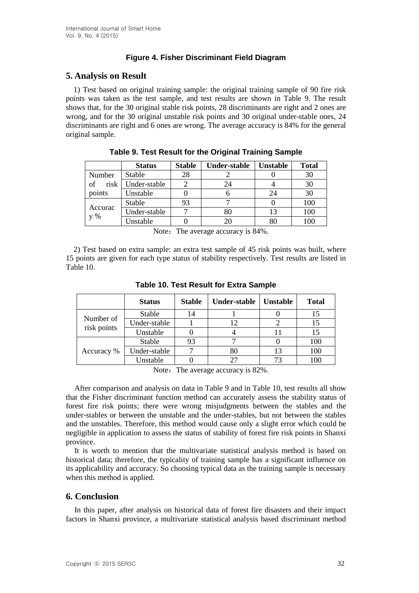## **Figure 4. Fisher Discriminant Field Diagram**

# **5. Analysis on Result**

1) Test based on original training sample: the original training sample of 90 fire risk points was taken as the test sample, and test results are shown in Table 9. The result shows that, for the 30 original stable risk points, 28 discriminants are right and 2 ones are wrong, and for the 30 original unstable risk points and 30 original under-stable ones, 24 discriminants are right and 6 ones are wrong. The average accuracy is 84% for the general original sample.

|                    | <b>Status</b> | <b>Stable</b> | Under-stable | <b>Unstable</b> | <b>Total</b> |
|--------------------|---------------|---------------|--------------|-----------------|--------------|
| Stable<br>Number   |               | 28            |              |                 | 30           |
| risk<br>of         | Under-stable  |               | 24           |                 | 30           |
| points<br>Unstable |               |               |              | 24              | 30           |
|                    | Stable        | 93            |              |                 | 100          |
| Accurac<br>$V\%$   | Under-stable  |               | 80           | 13              | 100          |
|                    | Unstable      |               | 20           | 80              | 100          |

|  |  |  | Table 9. Test Result for the Original Training Sample |
|--|--|--|-------------------------------------------------------|
|  |  |  |                                                       |

Note: The average accuracy is 84%.

2) Test based on extra sample: an extra test sample of 45 risk points was built, where 15 points are given for each type status of stability respectively. Test results are listed in Table 10.

|                          | <b>Status</b> | <b>Stable</b> | <b>Under-stable</b> | <b>Unstable</b> | <b>Total</b> |
|--------------------------|---------------|---------------|---------------------|-----------------|--------------|
| Number of<br>risk points | Stable        | 14            |                     |                 |              |
|                          | Under-stable  |               | 12                  |                 |              |
|                          | Unstable      |               |                     |                 |              |
| Accuracy %               | Stable        | 93            |                     |                 | 100          |
|                          | Under-stable  |               | 80                  | 13              | 100          |
|                          | Unstable      |               |                     | 73              | 100          |

**Table 10. Test Result for Extra Sample**

Note: The average accuracy is 82%.

After comparison and analysis on data in Table 9 and in Table 10, test results all show that the Fisher discriminant function method can accurately assess the stability status of forest fire risk points; there were wrong misjudgments between the stables and the under-stables or between the unstable and the under-stables, but not between the stables and the unstables. Therefore, this method would cause only a slight error which could be negligible in application to assess the status of stability of forest fire risk points in Shanxi province.

It is worth to mention that the multivariate statistical analysis method is based on historical data; therefore, the typicality of training sample has a significant influence on its applicability and accuracy. So choosing typical data as the training sample is necessary when this method is applied.

## **6. Conclusion**

In this paper, after analysis on historical data of forest fire disasters and their impact factors in Shanxi province, a multivariate statistical analysis based discriminant method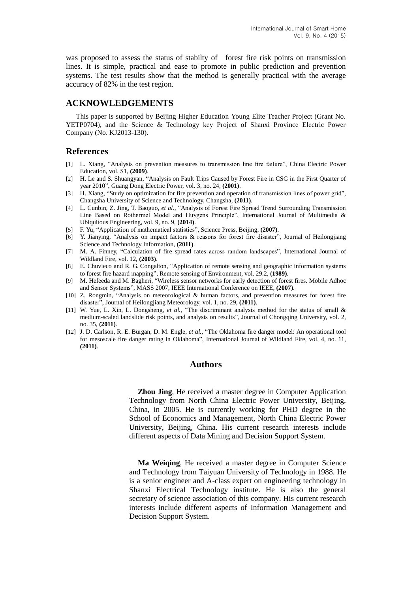was proposed to assess the status of stabilty of forest fire risk points on transmission lines. It is simple, practical and ease to promote in public prediction and prevention systems. The test results show that the method is generally practical with the average accuracy of 82% in the test region.

## **ACKNOWLEDGEMENTS**

This paper is supported by Beijing Higher Education Young Elite Teacher Project (Grant No. YETP0704), and the Science & Technology key Project of Shanxi Province Electric Power Company (No. KJ2013-130).

## **References**

- [1] L. Xiang, "Analysis on prevention measures to transmission line fire failure", China Electric Power Education, vol. S1, **(2009)**.
- [2] H. Le and S. Shuangyan, "Analysis on Fault Trips Caused by Forest Fire in CSG in the First Quarter of year 2010", Guang Dong Electric Power, vol. 3, no. 24, **(2001)**.
- [3] H. Xiang, "Study on optimization for fire prevention and operation of transmission lines of power grid", Changsha University of Science and Technology, Changsha, **(2011)**.
- [4] L. Cunbin, Z. Jing, T. Baoguo, *et al.,* "Analysis of Forest Fire Spread Trend Surrounding Transmission Line Based on Rothermel Model and Huygens Principle", International Journal of Multimedia & Ubiquitous Engineering, vol. 9, no. 9, **(2014)**.
- [5] F. Yu, "Application of mathematical statistics", Science Press, Beijing, **(2007)**.
- [6] Y. Jianying, "Analysis on impact factors & reasons for forest fire disaster", Journal of Heilongjiang Science and Technology Information, **(2011)**.
- [7] M. A. Finney, "Calculation of fire spread rates across random landscapes", International Journal of Wildland Fire, vol. 12, **(2003)**.
- [8] E. Chuvieco and R. G. Congalton, "Application of remote sensing and geographic information systems to forest fire hazard mapping", Remote sensing of Environment, vol. 29.2, **(1989)**.
- [9] M. Hefeeda and M. Bagheri, "Wireless sensor networks for early detection of forest fires. Mobile Adhoc and Sensor Systems", MASS 2007, IEEE International Conference on IEEE, **(2007)**.
- [10] Z. Rongmin, "Analysis on meteorological & human factors, and prevention measures for forest fire disaster", Journal of Heilongjiang Meteorology, vol. 1, no. 29, **(2011)**.
- [11] W. Yue, L. Xin, L. Dongsheng, *et al.,* "The discriminant analysis method for the status of small & medium-scaled landslide risk points, and analysis on results", Journal of Chongqing University, vol. 2, no. 35, **(2011)**.
- [12] J. D. Carlson, R. E. Burgan, D. M. Engle, *et al.,* "The Oklahoma fire danger model: An operational tool for mesoscale fire danger rating in Oklahoma", International Journal of Wildland Fire, vol. 4, no. 11, **(2011)**.

### **Authors**

**Zhou Jing**, He received a master degree in Computer Application Technology from North China Electric Power University, Beijing, China, in 2005. He is currently working for PHD degree in the School of Economics and Management, North China Electric Power University, Beijing, China. His current research interests include different aspects of Data Mining and Decision Support System.

**Ma Weiqing**, He received a master degree in Computer Science and Technology from Taiyuan University of Technology in 1988. He is a senior engineer and A-class expert on engineering technology in Shanxi Electrical Technology institute. He is also the general secretary of science association of this company. His current research interests include different aspects of Information Management and Decision Support System.